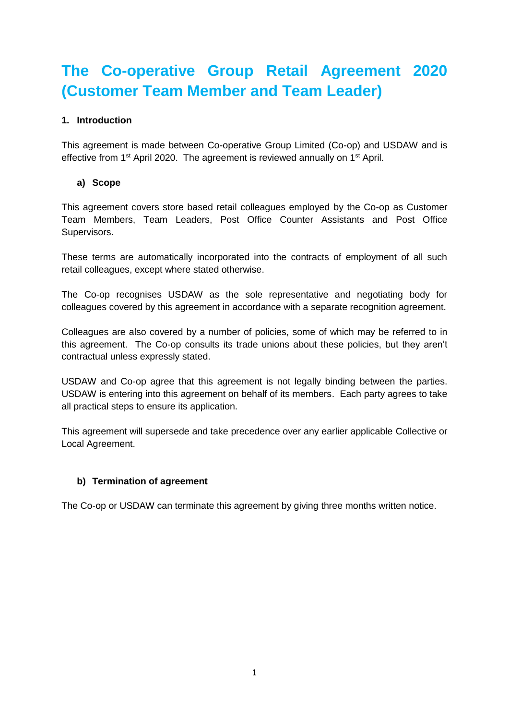# **The Co-operative Group Retail Agreement 2020 (Customer Team Member and Team Leader)**

## **1. Introduction**

This agreement is made between Co-operative Group Limited (Co-op) and USDAW and is effective from 1<sup>st</sup> April 2020. The agreement is reviewed annually on 1<sup>st</sup> April.

## **a) Scope**

This agreement covers store based retail colleagues employed by the Co-op as Customer Team Members, Team Leaders, Post Office Counter Assistants and Post Office Supervisors.

These terms are automatically incorporated into the contracts of employment of all such retail colleagues, except where stated otherwise.

The Co-op recognises USDAW as the sole representative and negotiating body for colleagues covered by this agreement in accordance with a separate recognition agreement.

Colleagues are also covered by a number of policies, some of which may be referred to in this agreement. The Co-op consults its trade unions about these policies, but they aren't contractual unless expressly stated.

USDAW and Co-op agree that this agreement is not legally binding between the parties. USDAW is entering into this agreement on behalf of its members. Each party agrees to take all practical steps to ensure its application.

This agreement will supersede and take precedence over any earlier applicable Collective or Local Agreement.

#### **b) Termination of agreement**

The Co-op or USDAW can terminate this agreement by giving three months written notice.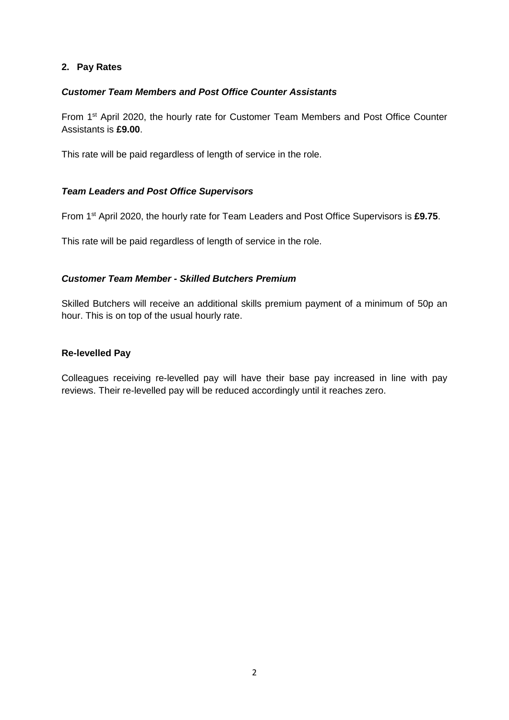## **2. Pay Rates**

### *Customer Team Members and Post Office Counter Assistants*

From 1st April 2020, the hourly rate for Customer Team Members and Post Office Counter Assistants is **£9.00**.

This rate will be paid regardless of length of service in the role.

## *Team Leaders and Post Office Supervisors*

From 1st April 2020, the hourly rate for Team Leaders and Post Office Supervisors is **£9.75**.

This rate will be paid regardless of length of service in the role.

## *Customer Team Member - Skilled Butchers Premium*

Skilled Butchers will receive an additional skills premium payment of a minimum of 50p an hour. This is on top of the usual hourly rate.

#### **Re-levelled Pay**

Colleagues receiving re-levelled pay will have their base pay increased in line with pay reviews. Their re-levelled pay will be reduced accordingly until it reaches zero.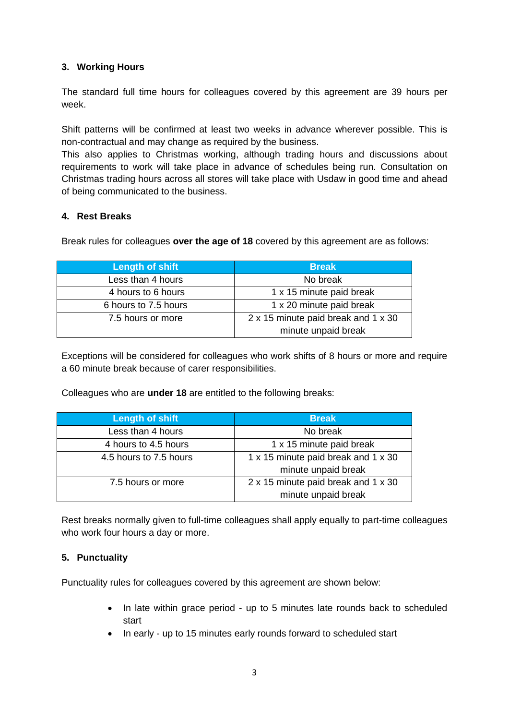## **3. Working Hours**

The standard full time hours for colleagues covered by this agreement are 39 hours per week.

Shift patterns will be confirmed at least two weeks in advance wherever possible. This is non-contractual and may change as required by the business.

This also applies to Christmas working, although trading hours and discussions about requirements to work will take place in advance of schedules being run. Consultation on Christmas trading hours across all stores will take place with Usdaw in good time and ahead of being communicated to the business.

## **4. Rest Breaks**

Break rules for colleagues **over the age of 18** covered by this agreement are as follows:

| Length of shift      | <b>Break</b>                        |
|----------------------|-------------------------------------|
| Less than 4 hours    | No break                            |
| 4 hours to 6 hours   | 1 x 15 minute paid break            |
| 6 hours to 7.5 hours | 1 x 20 minute paid break            |
| 7.5 hours or more    | 2 x 15 minute paid break and 1 x 30 |
|                      | minute unpaid break                 |

Exceptions will be considered for colleagues who work shifts of 8 hours or more and require a 60 minute break because of carer responsibilities.

Colleagues who are **under 18** are entitled to the following breaks:

| <b>Length of shift</b> | <b>Break</b>                        |
|------------------------|-------------------------------------|
| Less than 4 hours      | No break                            |
| 4 hours to 4.5 hours   | 1 x 15 minute paid break            |
| 4.5 hours to 7.5 hours | 1 x 15 minute paid break and 1 x 30 |
|                        | minute unpaid break                 |
| 7.5 hours or more      | 2 x 15 minute paid break and 1 x 30 |
|                        | minute unpaid break                 |

Rest breaks normally given to full-time colleagues shall apply equally to part-time colleagues who work four hours a day or more.

#### **5. Punctuality**

Punctuality rules for colleagues covered by this agreement are shown below:

- In late within grace period up to 5 minutes late rounds back to scheduled start
- In early up to 15 minutes early rounds forward to scheduled start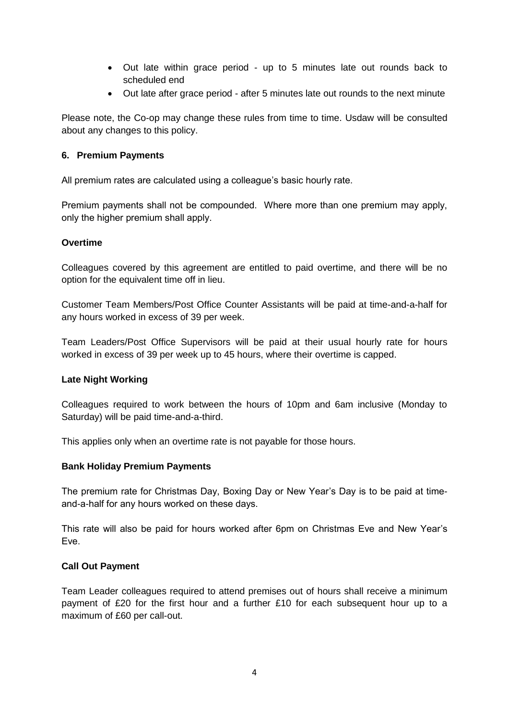- Out late within grace period up to 5 minutes late out rounds back to scheduled end
- Out late after grace period after 5 minutes late out rounds to the next minute

Please note, the Co-op may change these rules from time to time. Usdaw will be consulted about any changes to this policy.

#### **6. Premium Payments**

All premium rates are calculated using a colleague's basic hourly rate.

Premium payments shall not be compounded. Where more than one premium may apply, only the higher premium shall apply.

## **Overtime**

Colleagues covered by this agreement are entitled to paid overtime, and there will be no option for the equivalent time off in lieu.

Customer Team Members/Post Office Counter Assistants will be paid at time-and-a-half for any hours worked in excess of 39 per week.

Team Leaders/Post Office Supervisors will be paid at their usual hourly rate for hours worked in excess of 39 per week up to 45 hours, where their overtime is capped.

#### **Late Night Working**

Colleagues required to work between the hours of 10pm and 6am inclusive (Monday to Saturday) will be paid time-and-a-third.

This applies only when an overtime rate is not payable for those hours.

#### **Bank Holiday Premium Payments**

The premium rate for Christmas Day, Boxing Day or New Year's Day is to be paid at timeand-a-half for any hours worked on these days.

This rate will also be paid for hours worked after 6pm on Christmas Eve and New Year's Eve.

#### **Call Out Payment**

Team Leader colleagues required to attend premises out of hours shall receive a minimum payment of £20 for the first hour and a further £10 for each subsequent hour up to a maximum of £60 per call-out.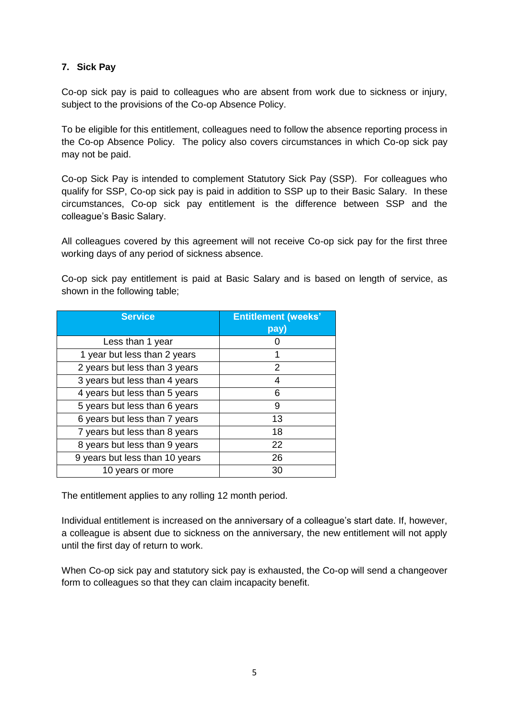## **7. Sick Pay**

Co-op sick pay is paid to colleagues who are absent from work due to sickness or injury, subject to the provisions of the Co-op Absence Policy.

To be eligible for this entitlement, colleagues need to follow the absence reporting process in the Co-op Absence Policy. The policy also covers circumstances in which Co-op sick pay may not be paid.

Co-op Sick Pay is intended to complement Statutory Sick Pay (SSP). For colleagues who qualify for SSP, Co-op sick pay is paid in addition to SSP up to their Basic Salary. In these circumstances, Co-op sick pay entitlement is the difference between SSP and the colleague's Basic Salary.

All colleagues covered by this agreement will not receive Co-op sick pay for the first three working days of any period of sickness absence.

Co-op sick pay entitlement is paid at Basic Salary and is based on length of service, as shown in the following table;

| <b>Service</b>                 | <b>Entitlement (weeks'</b> |
|--------------------------------|----------------------------|
|                                | pay)                       |
| Less than 1 year               |                            |
| 1 year but less than 2 years   |                            |
| 2 years but less than 3 years  | 2                          |
| 3 years but less than 4 years  | 4                          |
| 4 years but less than 5 years  | ิค                         |
| 5 years but less than 6 years  | 9                          |
| 6 years but less than 7 years  | 13                         |
| 7 years but less than 8 years  | 18                         |
| 8 years but less than 9 years  | 22                         |
| 9 years but less than 10 years | 26                         |
| 10 years or more               | 30                         |

The entitlement applies to any rolling 12 month period.

Individual entitlement is increased on the anniversary of a colleague's start date. If, however, a colleague is absent due to sickness on the anniversary, the new entitlement will not apply until the first day of return to work.

When Co-op sick pay and statutory sick pay is exhausted, the Co-op will send a changeover form to colleagues so that they can claim incapacity benefit.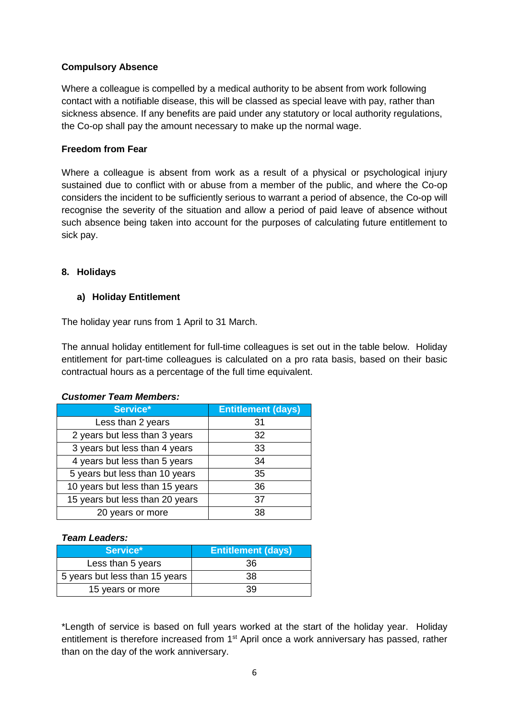## **Compulsory Absence**

Where a colleague is compelled by a medical authority to be absent from work following contact with a notifiable disease, this will be classed as special leave with pay, rather than sickness absence. If any benefits are paid under any statutory or local authority regulations, the Co-op shall pay the amount necessary to make up the normal wage.

## **Freedom from Fear**

Where a colleague is absent from work as a result of a physical or psychological injury sustained due to conflict with or abuse from a member of the public, and where the Co-op considers the incident to be sufficiently serious to warrant a period of absence, the Co-op will recognise the severity of the situation and allow a period of paid leave of absence without such absence being taken into account for the purposes of calculating future entitlement to sick pay.

## **8. Holidays**

## **a) Holiday Entitlement**

The holiday year runs from 1 April to 31 March.

The annual holiday entitlement for full-time colleagues is set out in the table below. Holiday entitlement for part-time colleagues is calculated on a pro rata basis, based on their basic contractual hours as a percentage of the full time equivalent.

#### *Customer Team Members:*

| Service*                        | <b>Entitlement (days)</b> |
|---------------------------------|---------------------------|
| Less than 2 years               | 31                        |
| 2 years but less than 3 years   | 32                        |
| 3 years but less than 4 years   | 33                        |
| 4 years but less than 5 years   | 34                        |
| 5 years but less than 10 years  | 35                        |
| 10 years but less than 15 years | 36                        |
| 15 years but less than 20 years | 37                        |
| 20 years or more                | 38                        |

### *Team Leaders:*

| Service*                       | <b>Entitlement (days)</b> |
|--------------------------------|---------------------------|
| Less than 5 years              | 36                        |
| 5 years but less than 15 years | 38                        |
| 15 years or more               | 39                        |

\*Length of service is based on full years worked at the start of the holiday year. Holiday entitlement is therefore increased from 1<sup>st</sup> April once a work anniversary has passed, rather than on the day of the work anniversary.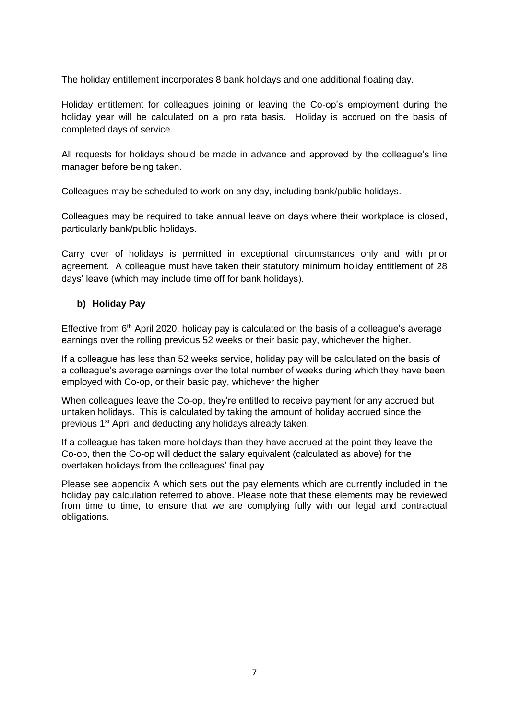The holiday entitlement incorporates 8 bank holidays and one additional floating day.

Holiday entitlement for colleagues joining or leaving the Co-op's employment during the holiday year will be calculated on a pro rata basis. Holiday is accrued on the basis of completed days of service.

All requests for holidays should be made in advance and approved by the colleague's line manager before being taken.

Colleagues may be scheduled to work on any day, including bank/public holidays.

Colleagues may be required to take annual leave on days where their workplace is closed, particularly bank/public holidays.

Carry over of holidays is permitted in exceptional circumstances only and with prior agreement. A colleague must have taken their statutory minimum holiday entitlement of 28 days' leave (which may include time off for bank holidays).

#### **b) Holiday Pay**

Effective from  $6<sup>th</sup>$  April 2020, holiday pay is calculated on the basis of a colleague's average earnings over the rolling previous 52 weeks or their basic pay, whichever the higher.

If a colleague has less than 52 weeks service, holiday pay will be calculated on the basis of a colleague's average earnings over the total number of weeks during which they have been employed with Co-op, or their basic pay, whichever the higher.

When colleagues leave the Co-op, they're entitled to receive payment for any accrued but untaken holidays. This is calculated by taking the amount of holiday accrued since the previous 1<sup>st</sup> April and deducting any holidays already taken.

If a colleague has taken more holidays than they have accrued at the point they leave the Co-op, then the Co-op will deduct the salary equivalent (calculated as above) for the overtaken holidays from the colleagues' final pay.

Please see appendix A which sets out the pay elements which are currently included in the holiday pay calculation referred to above. Please note that these elements may be reviewed from time to time, to ensure that we are complying fully with our legal and contractual obligations.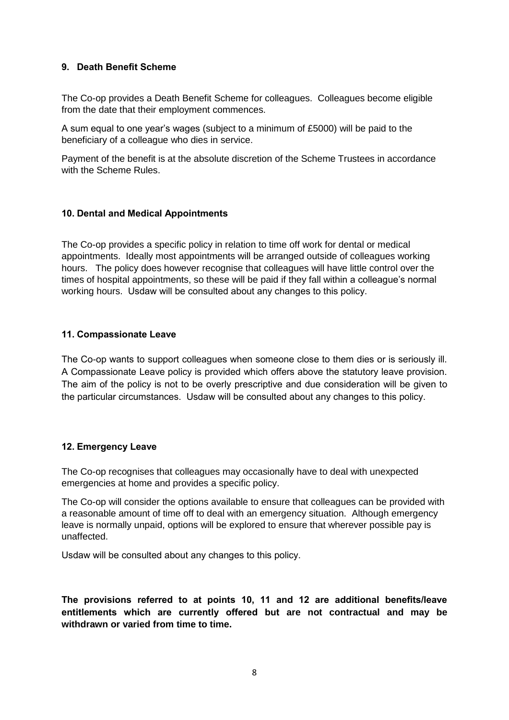#### **9. Death Benefit Scheme**

The Co-op provides a Death Benefit Scheme for colleagues. Colleagues become eligible from the date that their employment commences.

A sum equal to one year's wages (subject to a minimum of £5000) will be paid to the beneficiary of a colleague who dies in service.

Payment of the benefit is at the absolute discretion of the Scheme Trustees in accordance with the Scheme Rules.

## **10. Dental and Medical Appointments**

The Co-op provides a specific policy in relation to time off work for dental or medical appointments. Ideally most appointments will be arranged outside of colleagues working hours. The policy does however recognise that colleagues will have little control over the times of hospital appointments, so these will be paid if they fall within a colleague's normal working hours. Usdaw will be consulted about any changes to this policy.

#### **11. Compassionate Leave**

The Co-op wants to support colleagues when someone close to them dies or is seriously ill. A Compassionate Leave policy is provided which offers above the statutory leave provision. The aim of the policy is not to be overly prescriptive and due consideration will be given to the particular circumstances. Usdaw will be consulted about any changes to this policy.

#### **12. Emergency Leave**

The Co-op recognises that colleagues may occasionally have to deal with unexpected emergencies at home and provides a specific policy.

The Co-op will consider the options available to ensure that colleagues can be provided with a reasonable amount of time off to deal with an emergency situation. Although emergency leave is normally unpaid, options will be explored to ensure that wherever possible pay is unaffected.

Usdaw will be consulted about any changes to this policy.

**The provisions referred to at points 10, 11 and 12 are additional benefits/leave entitlements which are currently offered but are not contractual and may be withdrawn or varied from time to time.**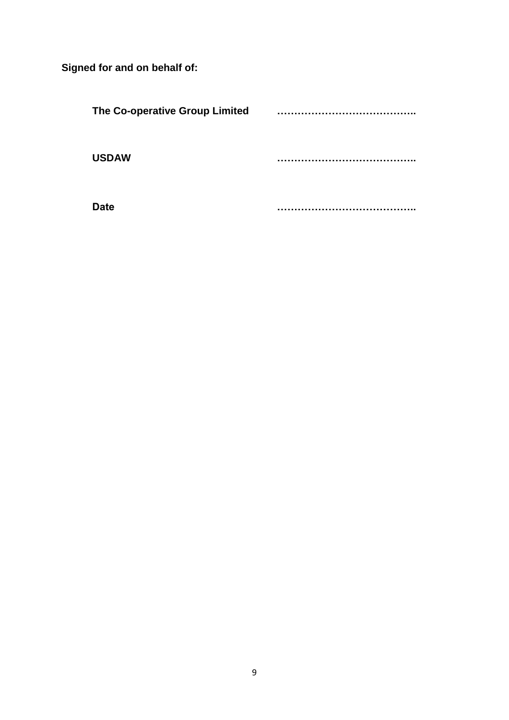**Signed for and on behalf of:**

| The Co-operative Group Limited | . .     |
|--------------------------------|---------|
| <b>USDAW</b>                   | . .     |
| `ate                           | . .<br> |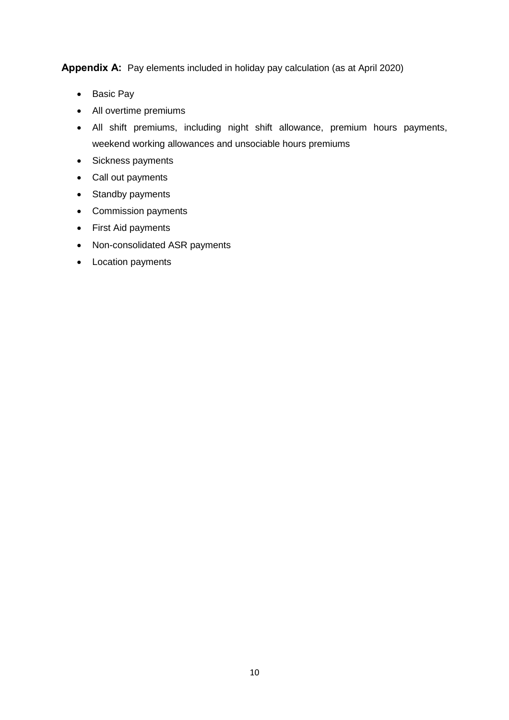**Appendix A:** Pay elements included in holiday pay calculation (as at April 2020)

- Basic Pay
- All overtime premiums
- All shift premiums, including night shift allowance, premium hours payments, weekend working allowances and unsociable hours premiums
- Sickness payments
- Call out payments
- Standby payments
- Commission payments
- First Aid payments
- Non-consolidated ASR payments
- Location payments